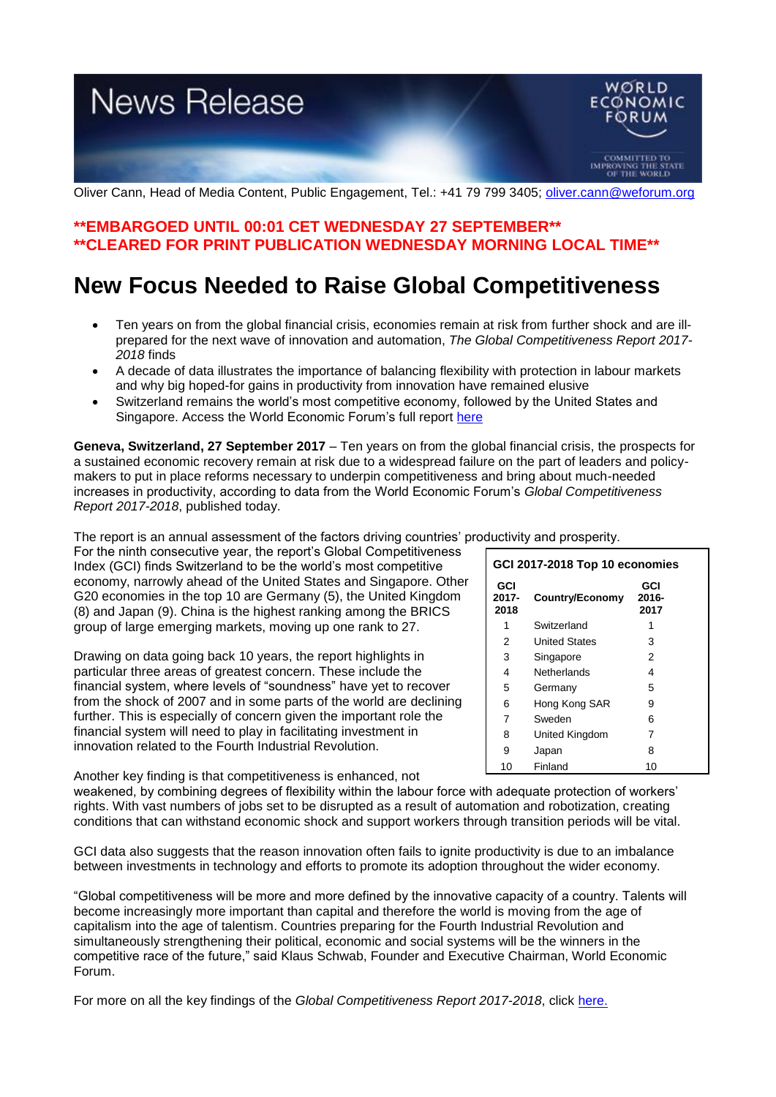# **News Release**



Oliver Cann, Head of Media Content, Public Engagement, Tel.: +41 79 799 3405; [oliver.cann@weforum.org](mailto:oliver.cann@weforum.org)

### **\*\*EMBARGOED UNTIL 00:01 CET WEDNESDAY 27 SEPTEMBER\*\* \*\*CLEARED FOR PRINT PUBLICATION WEDNESDAY MORNING LOCAL TIME\*\***

## **New Focus Needed to Raise Global Competitiveness**

- Ten years on from the global financial crisis, economies remain at risk from further shock and are illprepared for the next wave of innovation and automation, *The Global Competitiveness Report 2017- 2018* finds
- A decade of data illustrates the importance of balancing flexibility with protection in labour markets and why big hoped-for gains in productivity from innovation have remained elusive
- Switzerland remains the world's most competitive economy, followed by the United States and Singapore. Access the World Economic Forum's full report [here](http://www3.weforum.org/docs/GCR2017-2018/05FullReport/TheGlobalCompetitivenessReport2017%E2%80%932018.pdf)

**Geneva, Switzerland, 27 September 2017** – Ten years on from the global financial crisis, the prospects for a sustained economic recovery remain at risk due to a widespread failure on the part of leaders and policymakers to put in place reforms necessary to underpin competitiveness and bring about much-needed increases in productivity, according to data from the World Economic Forum's *Global Competitiveness Report 2017-2018*, published today.

The report is an annual assessment of the factors driving countries' productivity and prosperity.

For the ninth consecutive year, the report's Global Competitiveness Index (GCI) finds Switzerland to be the world's most competitive economy, narrowly ahead of the United States and Singapore. Other G20 economies in the top 10 are Germany (5), the United Kingdom (8) and Japan (9). China is the highest ranking among the BRICS group of large emerging markets, moving up one rank to 27.

Drawing on data going back 10 years, the report highlights in particular three areas of greatest concern. These include the financial system, where levels of "soundness" have yet to recover from the shock of 2007 and in some parts of the world are declining further. This is especially of concern given the important role the financial system will need to play in facilitating investment in innovation related to the Fourth Industrial Revolution.

**GCI 2017- 2018 Country/Economy GCI 2016- 2017** 1 Switzerland 1 2 United States 3 3 Singapore 2 4 Netherlands 4 5 Germany 5 6 Hong Kong SAR 9 7 Sweden 6 8 United Kingdom 7 9 Japan 8 10 Finland 10

**GCI 2017-2018 Top 10 economies**

Another key finding is that competitiveness is enhanced, not

weakened, by combining degrees of flexibility within the labour force with adequate protection of workers' rights. With vast numbers of jobs set to be disrupted as a result of automation and robotization, creating conditions that can withstand economic shock and support workers through transition periods will be vital.

GCI data also suggests that the reason innovation often fails to ignite productivity is due to an imbalance between investments in technology and efforts to promote its adoption throughout the wider economy.

"Global competitiveness will be more and more defined by the innovative capacity of a country. Talents will become increasingly more important than capital and therefore the world is moving from the age of capitalism into the age of talentism. Countries preparing for the Fourth Industrial Revolution and simultaneously strengthening their political, economic and social systems will be the winners in the competitive race of the future," said Klaus Schwab, Founder and Executive Chairman, World Economic Forum.

For more on all the key findings of the *Global Competitiveness Report 2017-2018*, click [here.](http://www3.weforum.org/docs/GCR2017-2018/05FullReport/TheGlobalCompetitivenessReport2017%E2%80%932018.pdf)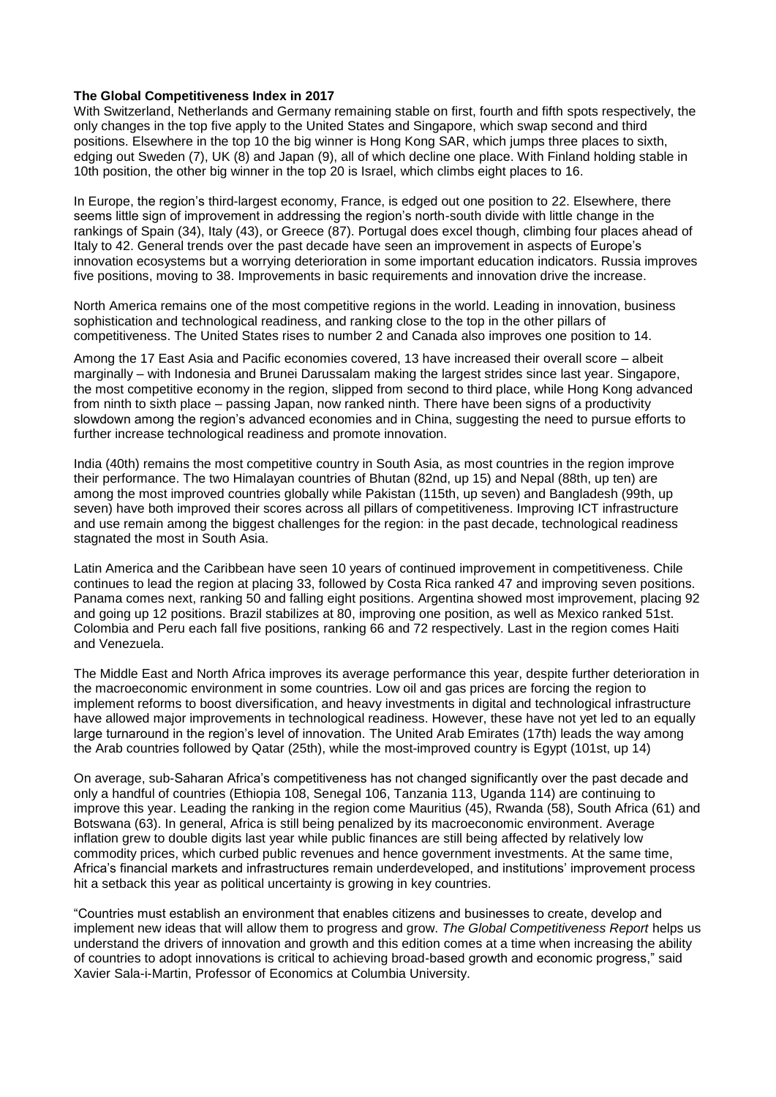### **The Global Competitiveness Index in 2017**

With Switzerland, Netherlands and Germany remaining stable on first, fourth and fifth spots respectively, the only changes in the top five apply to the United States and Singapore, which swap second and third positions. Elsewhere in the top 10 the big winner is Hong Kong SAR, which jumps three places to sixth, edging out Sweden (7), UK (8) and Japan (9), all of which decline one place. With Finland holding stable in 10th position, the other big winner in the top 20 is Israel, which climbs eight places to 16.

In Europe, the region's third-largest economy, France, is edged out one position to 22. Elsewhere, there seems little sign of improvement in addressing the region's north-south divide with little change in the rankings of Spain (34), Italy (43), or Greece (87). Portugal does excel though, climbing four places ahead of Italy to 42. General trends over the past decade have seen an improvement in aspects of Europe's innovation ecosystems but a worrying deterioration in some important education indicators. Russia improves five positions, moving to 38. Improvements in basic requirements and innovation drive the increase.

North America remains one of the most competitive regions in the world. Leading in innovation, business sophistication and technological readiness, and ranking close to the top in the other pillars of competitiveness. The United States rises to number 2 and Canada also improves one position to 14.

Among the 17 East Asia and Pacific economies covered, 13 have increased their overall score – albeit marginally – with Indonesia and Brunei Darussalam making the largest strides since last year. Singapore, the most competitive economy in the region, slipped from second to third place, while Hong Kong advanced from ninth to sixth place – passing Japan, now ranked ninth. There have been signs of a productivity slowdown among the region's advanced economies and in China, suggesting the need to pursue efforts to further increase technological readiness and promote innovation.

India (40th) remains the most competitive country in South Asia, as most countries in the region improve their performance. The two Himalayan countries of Bhutan (82nd, up 15) and Nepal (88th, up ten) are among the most improved countries globally while Pakistan (115th, up seven) and Bangladesh (99th, up seven) have both improved their scores across all pillars of competitiveness. Improving ICT infrastructure and use remain among the biggest challenges for the region: in the past decade, technological readiness stagnated the most in South Asia.

Latin America and the Caribbean have seen 10 years of continued improvement in competitiveness. Chile continues to lead the region at placing 33, followed by Costa Rica ranked 47 and improving seven positions. Panama comes next, ranking 50 and falling eight positions. Argentina showed most improvement, placing 92 and going up 12 positions. Brazil stabilizes at 80, improving one position, as well as Mexico ranked 51st. Colombia and Peru each fall five positions, ranking 66 and 72 respectively. Last in the region comes Haiti and Venezuela.

The Middle East and North Africa improves its average performance this year, despite further deterioration in the macroeconomic environment in some countries. Low oil and gas prices are forcing the region to implement reforms to boost diversification, and heavy investments in digital and technological infrastructure have allowed major improvements in technological readiness. However, these have not yet led to an equally large turnaround in the region's level of innovation. The United Arab Emirates (17th) leads the way among the Arab countries followed by Qatar (25th), while the most-improved country is Egypt (101st, up 14)

On average, sub-Saharan Africa's competitiveness has not changed significantly over the past decade and only a handful of countries (Ethiopia 108, Senegal 106, Tanzania 113, Uganda 114) are continuing to improve this year. Leading the ranking in the region come Mauritius (45), Rwanda (58), South Africa (61) and Botswana (63). In general, Africa is still being penalized by its macroeconomic environment. Average inflation grew to double digits last year while public finances are still being affected by relatively low commodity prices, which curbed public revenues and hence government investments. At the same time, Africa's financial markets and infrastructures remain underdeveloped, and institutions' improvement process hit a setback this year as political uncertainty is growing in key countries.

"Countries must establish an environment that enables citizens and businesses to create, develop and implement new ideas that will allow them to progress and grow. *The Global Competitiveness Report* helps us understand the drivers of innovation and growth and this edition comes at a time when increasing the ability of countries to adopt innovations is critical to achieving broad-based growth and economic progress," said Xavier Sala-i-Martin, Professor of Economics at Columbia University.